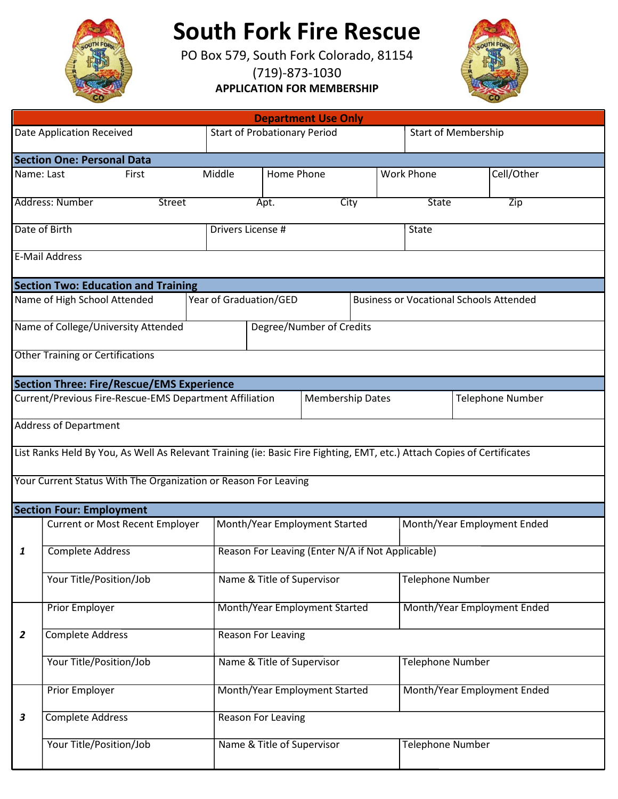

## **South Fork Fire Rescue**

 PO Box 579, South Fork Colorado, 81154 (719)-873-1030

**APPLICATION FOR MEMBERSHIP**



| <b>Department Use Only</b>                                                                                              |                                                                 |                               |                                                  |            |                               |      |                                    |                         |  |                                                |  |
|-------------------------------------------------------------------------------------------------------------------------|-----------------------------------------------------------------|-------------------------------|--------------------------------------------------|------------|-------------------------------|------|------------------------------------|-------------------------|--|------------------------------------------------|--|
| Date Application Received                                                                                               |                                                                 |                               | <b>Start of Probationary Period</b>              |            |                               |      | <b>Start of Membership</b>         |                         |  |                                                |  |
|                                                                                                                         | <b>Section One: Personal Data</b>                               |                               |                                                  |            |                               |      |                                    |                         |  |                                                |  |
| Name: Last                                                                                                              | First                                                           |                               | Middle                                           | Home Phone |                               |      |                                    | <b>Work Phone</b>       |  | Cell/Other                                     |  |
|                                                                                                                         | Address: Number                                                 | <b>Street</b>                 |                                                  | Apt.       |                               | City |                                    | State                   |  | Zip                                            |  |
|                                                                                                                         |                                                                 |                               |                                                  |            |                               |      |                                    |                         |  |                                                |  |
| Date of Birth                                                                                                           |                                                                 |                               | Drivers License #                                |            |                               |      | <b>State</b>                       |                         |  |                                                |  |
|                                                                                                                         | <b>E-Mail Address</b>                                           |                               |                                                  |            |                               |      |                                    |                         |  |                                                |  |
|                                                                                                                         | <b>Section Two: Education and Training</b>                      |                               |                                                  |            |                               |      |                                    |                         |  |                                                |  |
|                                                                                                                         | Name of High School Attended                                    |                               | Year of Graduation/GED                           |            |                               |      |                                    |                         |  | <b>Business or Vocational Schools Attended</b> |  |
|                                                                                                                         | Name of College/University Attended<br>Degree/Number of Credits |                               |                                                  |            |                               |      |                                    |                         |  |                                                |  |
|                                                                                                                         |                                                                 |                               |                                                  |            |                               |      |                                    |                         |  |                                                |  |
| <b>Other Training or Certifications</b>                                                                                 |                                                                 |                               |                                                  |            |                               |      |                                    |                         |  |                                                |  |
|                                                                                                                         | <b>Section Three: Fire/Rescue/EMS Experience</b>                |                               |                                                  |            |                               |      |                                    |                         |  |                                                |  |
| Current/Previous Fire-Rescue-EMS Department Affiliation<br><b>Membership Dates</b><br><b>Telephone Number</b>           |                                                                 |                               |                                                  |            |                               |      |                                    |                         |  |                                                |  |
| <b>Address of Department</b>                                                                                            |                                                                 |                               |                                                  |            |                               |      |                                    |                         |  |                                                |  |
| List Ranks Held By You, As Well As Relevant Training (ie: Basic Fire Fighting, EMT, etc.) Attach Copies of Certificates |                                                                 |                               |                                                  |            |                               |      |                                    |                         |  |                                                |  |
|                                                                                                                         |                                                                 |                               |                                                  |            |                               |      |                                    |                         |  |                                                |  |
|                                                                                                                         | Your Current Status With The Organization or Reason For Leaving |                               |                                                  |            |                               |      |                                    |                         |  |                                                |  |
|                                                                                                                         | <b>Section Four: Employment</b>                                 |                               |                                                  |            |                               |      |                                    |                         |  |                                                |  |
|                                                                                                                         | <b>Current or Most Recent Employer</b>                          |                               | Month/Year Employment Started                    |            |                               |      | Month/Year Employment Ended        |                         |  |                                                |  |
| 1                                                                                                                       | <b>Complete Address</b>                                         |                               | Reason For Leaving (Enter N/A if Not Applicable) |            |                               |      |                                    |                         |  |                                                |  |
|                                                                                                                         |                                                                 |                               |                                                  |            |                               |      |                                    |                         |  |                                                |  |
|                                                                                                                         | Your Title/Position/Job                                         |                               | Name & Title of Supervisor                       |            |                               |      | <b>Telephone Number</b>            |                         |  |                                                |  |
| <b>Prior Employer</b>                                                                                                   |                                                                 | Month/Year Employment Started |                                                  |            |                               |      | <b>Month/Year Employment Ended</b> |                         |  |                                                |  |
| $\overline{2}$                                                                                                          | <b>Complete Address</b>                                         | <b>Reason For Leaving</b>     |                                                  |            |                               |      |                                    |                         |  |                                                |  |
|                                                                                                                         |                                                                 |                               |                                                  |            |                               |      |                                    |                         |  |                                                |  |
|                                                                                                                         | Your Title/Position/Job<br>Name & Title of Supervisor           |                               |                                                  |            |                               |      | <b>Telephone Number</b>            |                         |  |                                                |  |
|                                                                                                                         | Prior Employer                                                  |                               |                                                  |            | Month/Year Employment Started |      |                                    |                         |  | Month/Year Employment Ended                    |  |
| 3                                                                                                                       | <b>Complete Address</b>                                         |                               | Reason For Leaving                               |            |                               |      |                                    |                         |  |                                                |  |
|                                                                                                                         |                                                                 |                               |                                                  |            |                               |      |                                    |                         |  |                                                |  |
|                                                                                                                         | Your Title/Position/Job                                         |                               | Name & Title of Supervisor                       |            |                               |      |                                    | <b>Telephone Number</b> |  |                                                |  |
|                                                                                                                         |                                                                 |                               |                                                  |            |                               |      |                                    |                         |  |                                                |  |